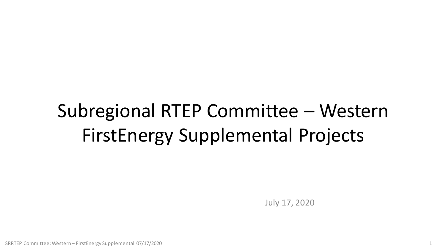# Subregional RTEP Committee – Western FirstEnergy Supplemental Projects

July 17, 2020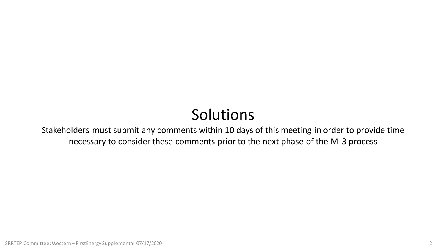## Solutions

Stakeholders must submit any comments within 10 days of this meeting in order to provide time necessary to consider these comments prior to the next phase of the M-3 process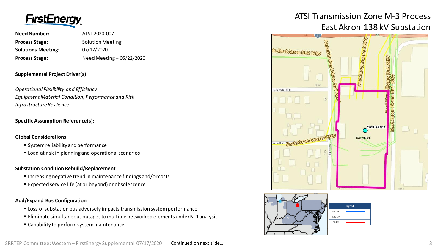

| <b>Need Number:</b>       | ATSI-2020-007             |
|---------------------------|---------------------------|
| <b>Process Stage:</b>     | <b>Solution Meeting</b>   |
| <b>Solutions Meeting:</b> | 07/17/2020                |
| <b>Process Stage:</b>     | Need Meeting - 05/22/2020 |

#### **Supplemental Project Driver(s):**

*Operational Flexibility and Efficiency Equipment Material Condition, Performance and Risk Infrastructure Resilience*

#### **Specific Assumption Reference(s):**

#### **Global Considerations**

- System reliability and performance
- **EXECT** Load at risk in planning and operational scenarios

#### **Substation Condition Rebuild/Replacement**

- Increasing negative trend in maintenance findings and/or costs
- Expected service life (at or beyond) or obsolescence

#### **Add/Expand Bus Configuration**

- **EX Loss of substation bus adversely impacts transmission system performance**
- Eliminate simultaneous outages to multiple networked elements under N-1 analysis
- Capability to perform system maintenance

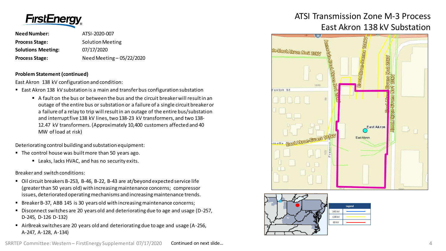

| Need Number:              | ATSI-2020-007             |
|---------------------------|---------------------------|
| <b>Process Stage:</b>     | <b>Solution Meeting</b>   |
| <b>Solutions Meeting:</b> | 07/17/2020                |
| <b>Process Stage:</b>     | Need Meeting - 05/22/2020 |

#### **Problem Statement (continued)**

East Akron 138 kV configuration and condition:

- East Akron 138 kV substation is a main and transfer bus configuration substation
	- A fault on the bus or between the bus and the circuit breaker will result in an outage of the entire bus or substation or a failure of a single circuit breaker or a failure of a relay to trip will result in an outage of the entire bus/substation and interrupt five 138 kV lines, two 138-23 kV transformers, and two 138- 12.47 kV transformers. (Approximately 10,400 customers affected and 40 MW of load at risk)

Deteriorating control building and substation equipment:

- $\blacksquare$  The control house was built more than 50 years ago.
	- Leaks, lacks HVAC, and has no security exits.

Breaker and switch conditions:

- Oil circuit breakers B-253, B-46, B-22, B-43 are at/beyond expected service life (greater than 50 years old) with increasing maintenance concerns; compressor issues, deteriorated operating mechanisms and increasing maintenance trends.
- Breaker B-37, ABB 145 is 30 years old with increasing maintenance concerns;
- Disconnect switches are 20 years old and deteriorating due to age and usage (D-257, D-245, D-126 D-132)
- AirBreak switches are 20 years old and deteriorating due to age and usage (A-256, A-247, A-128, A-134)

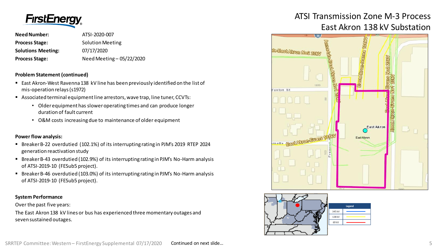

| Need Number:              | ATSI-2020-007             |
|---------------------------|---------------------------|
| <b>Process Stage:</b>     | <b>Solution Meeting</b>   |
| <b>Solutions Meeting:</b> | 07/17/2020                |
| <b>Process Stage:</b>     | Need Meeting - 05/22/2020 |

#### **Problem Statement (continued)**

- East Akron-West Ravenna 138 kV line has been previously identified on the list of mis-operation relays (s1972)
- Associated terminal equipment line arrestors, wave trap, line tuner, CCVTs:
	- Older equipment has slower operating times and can produce longer duration of fault current
	- O&M costs increasing due to maintenance of older equipment

#### **Power flow analysis:**

- Breaker B-22 overdutied (102.1%) of its interrupting rating in PJM's 2019 RTEP 2024 generation reactivation study
- Breaker B-43 overdutied (102.9%) of its interrupting rating in PJM's No-Harm analysis of ATSI-2019-10 (FESub5 project).
- Breaker B-46 overdutied (103.0%) of its interrupting rating in PJM's No-Harm analysis of ATSI-2019-10 (FESub5 project).

#### **System Performance**

Over the past five years:

The East Akron 138 kV lines or bus has experienced three momentary outages and seven sustained outages.

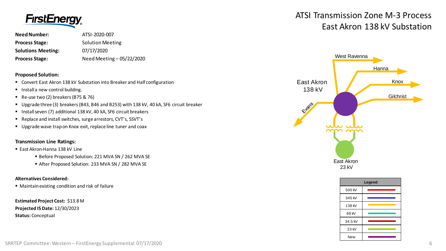

| Need Number:              | ATSI-2020-007             |
|---------------------------|---------------------------|
| <b>Process Stage:</b>     | <b>Solution Meeting</b>   |
| <b>Solutions Meeting:</b> | 07/17/2020                |
| <b>Process Stage:</b>     | Need Meeting - 05/22/2020 |

#### **Proposed Solution:**

- Convert East Akron 138 kV Substation into Breaker and Half configuration
- **Install a new control building.**
- Re-use two (2) breakers (B75 & 76)
- Upgrade three (3) breakers (B43, B46 and B253) with 138 kV, 40 kA, SF6 circuit breaker
- Install seven (7) additional 138 kV, 40 kA, SF6 circuit breakers
- Replace and install switches, surge arrestors, CVT's, SSVT's
- Upgrade wave trap on Knox exit, replace line tuner and coax

#### **Transmission Line Ratings:**

#### ■ East Akron-Hanna 138 kV Line

- Before Proposed Solution: 221 MVA SN / 262 MVA SE
- After Proposed Solution: 233 MVA SN / 282 MVA SE

#### **Alternatives Considered:**

■ Maintain existing condition and risk of failure

**Estimated Project Cost:** \$13.8 M **Projected IS Date:** 12/30/2023 **Status:** Conceptual



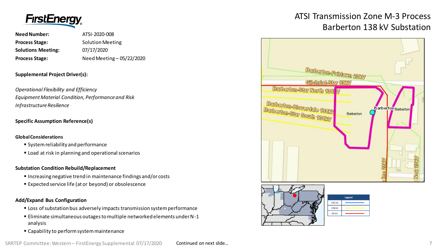

**Need Number:** ATSI-2020-008 **Process Stage:** Solution Meeting **Solutions Meeting:** 07/17/2020 **Process Stage:** Need Meeting – 05/22/2020

#### **Supplemental Project Driver(s):**

*Operational Flexibility and Efficiency Equipment Material Condition, Performance and Risk Infrastructure Resilience*

#### **Specific Assumption Reference(s)**

#### **Global Considerations**

- System reliability and performance
- **EXECT** Load at risk in planning and operational scenarios

#### **Substation Condition Rebuild/Replacement**

- Increasing negative trend in maintenance findings and/or costs
- Expected service life (at or beyond) or obsolescence

#### **Add/Expand Bus Configuration**

- **EX Loss of substation bus adversely impacts transmission system performance**
- Eliminate simultaneous outages to multiple networked elements under N-1 analysis
- Capability to perform system maintenance

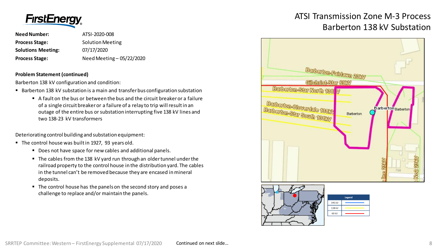

**Need Number:** ATSI-2020-008 **Process Stage:** Solution Meeting **Solutions Meeting:** 07/17/2020 **Process Stage:** Need Meeting – 05/22/2020

#### **Problem Statement (continued)**

Barberton 138 kV configuration and condition:

- Barberton 138 kV substation is a main and transfer bus configuration substation
	- A fault on the bus or between the bus and the circuit breaker or a failure of a single circuit breaker or a failure of a relay to trip will result in an outage of the entire bus or substation interrupting five 138 kV lines and two 138-23 kV transformers

Deteriorating control building and substation equipment:

- The control house was built in 1927, 93 years old.
	- Does not have space for new cables and additional panels.
	- The cables from the 138 kV yard run through an older tunnel under the railroad property to the control house in the distribution yard. The cables in the tunnel can't be removed because they are encased in mineral deposits.
	- The control house has the panels on the second story and poses a challenge to replace and/or maintain the panels.

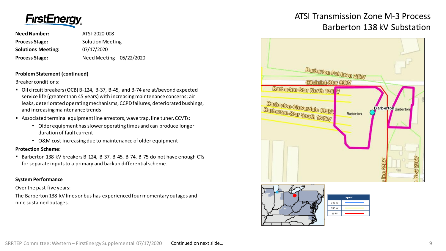

**Need Number:** ATSI-2020-008 **Process Stage:** Solution Meeting **Solutions Meeting:** 07/17/2020 **Process Stage:** Need Meeting – 05/22/2020

#### **Problem Statement (continued)**

Breaker conditions:

- Oil circuit breakers (OCB) B-124, B-37, B-45, and B-74 are at/beyond expected service life (greater than 45 years) with increasing maintenance concerns; air leaks, deteriorated operating mechanisms, CCPD failures, deteriorated bushings, and increasing maintenance trends
- Associated terminal equipment line arrestors, wave trap, line tuner, CCVTs:
	- Older equipment has slower operating times and can produce longer duration of fault current
	- O&M cost increasing due to maintenance of older equipment

#### **Protection Scheme:**

Barberton 138 kV breakers B-124, B-37, B-45, B-74, B-75 do not have enough CTs for separate inputs to a primary and backup differential scheme.

#### **System Performance**

Over the past five years:

The Barberton 138 kV lines or bus has experienced four momentary outages and nine sustained outages.

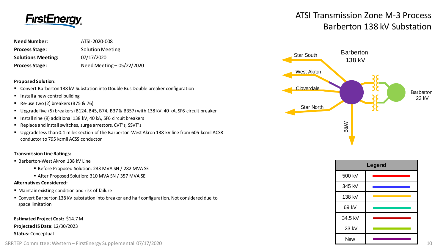

| <b>Need Number:</b>       | ATSI-2020-008             |
|---------------------------|---------------------------|
| <b>Process Stage:</b>     | <b>Solution Meeting</b>   |
| <b>Solutions Meeting:</b> | 07/17/2020                |
| <b>Process Stage:</b>     | Need Meeting - 05/22/2020 |

#### **Proposed Solution:**

- Convert Barberton 138 kV Substation into Double Bus Double breaker configuration
- **Install a new control building**
- Re-use two (2) breakers (B75 & 76)
- Upgrade five (5) breakers (B124, B45, B74, B37 & B357) with 138 kV, 40 kA, SF6 circuit breaker
- Install nine (9) additional 138 kV, 40 kA, SF6 circuit breakers
- Replace and install switches, surge arrestors, CVT's, SSVT's
- Upgrade less than 0.1 miles section of the Barberton-West Akron 138 kV line from 605 kcmil ACSR conductor to 795 kcmil ACSS conductor

#### **Transmission Line Ratings:**

- Barberton-West Akron 138 kV Line
	- Before Proposed Solution: 233 MVA SN / 282 MVA SE
	- After Proposed Solution: 310 MVA SN / 357 MVA SE

#### **Alternatives Considered:**

- Maintain existing condition and risk of failure
- Convert Barberton 138 kV substation into breaker and half configuration. Not considered due to space limitation

**Estimated Project Cost:** \$14.7 M **Projected IS Date:** 12/30/2023 **Status:** Conceptual





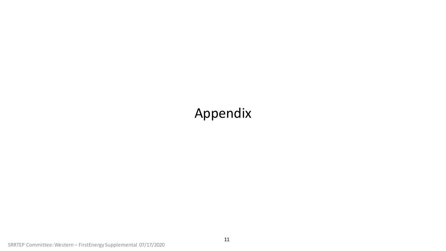## Appendix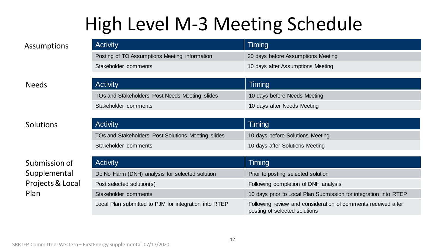# High Level M-3 Meeting Schedule

| <b>Activity</b>                               | Timing                             |
|-----------------------------------------------|------------------------------------|
| Posting of TO Assumptions Meeting information | 20 days before Assumptions Meeting |
| Stakeholder comments                          | 10 days after Assumptions Meeting  |

### Needs

### Solutions

### Submission of Supplemental Projects & Local Plan

| <b>Activity</b>                                | Timing                       |
|------------------------------------------------|------------------------------|
| TOs and Stakeholders Post Needs Meeting slides | 10 days before Needs Meeting |
| Stakeholder comments                           | 10 days after Needs Meeting  |
|                                                |                              |

| <b>Activity</b>                                    | Timing                           |
|----------------------------------------------------|----------------------------------|
| TOs and Stakeholders Post Solutions Meeting slides | 10 days before Solutions Meeting |
| Stakeholder comments                               | 10 days after Solutions Meeting  |

| <b>Activity</b>                                       | Timing                                                                                         |
|-------------------------------------------------------|------------------------------------------------------------------------------------------------|
| Do No Harm (DNH) analysis for selected solution       | Prior to posting selected solution                                                             |
| Post selected solution(s)                             | Following completion of DNH analysis                                                           |
| Stakeholder comments                                  | 10 days prior to Local Plan Submission for integration into RTEP                               |
| Local Plan submitted to PJM for integration into RTEP | Following review and consideration of comments received after<br>posting of selected solutions |